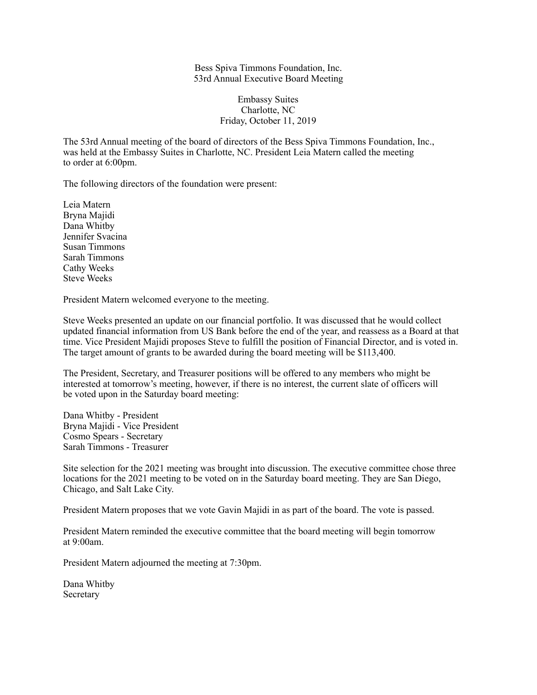Bess Spiva Timmons Foundation, Inc. 53rd Annual Executive Board Meeting

## Embassy Suites Charlotte, NC Friday, October 11, 2019

The 53rd Annual meeting of the board of directors of the Bess Spiva Timmons Foundation, Inc., was held at the Embassy Suites in Charlotte, NC. President Leia Matern called the meeting to order at 6:00pm.

The following directors of the foundation were present:

Leia Matern Bryna Majidi Dana Whitby Jennifer Svacina Susan Timmons Sarah Timmons Cathy Weeks Steve Weeks

President Matern welcomed everyone to the meeting.

Steve Weeks presented an update on our financial portfolio. It was discussed that he would collect updated financial information from US Bank before the end of the year, and reassess as a Board at that time. Vice President Majidi proposes Steve to fulfill the position of Financial Director, and is voted in. The target amount of grants to be awarded during the board meeting will be \$113,400.

The President, Secretary, and Treasurer positions will be offered to any members who might be interested at tomorrow's meeting, however, if there is no interest, the current slate of officers will be voted upon in the Saturday board meeting:

Dana Whitby - President Bryna Majidi - Vice President Cosmo Spears - Secretary Sarah Timmons - Treasurer

Site selection for the 2021 meeting was brought into discussion. The executive committee chose three locations for the 2021 meeting to be voted on in the Saturday board meeting. They are San Diego, Chicago, and Salt Lake City.

President Matern proposes that we vote Gavin Majidi in as part of the board. The vote is passed.

President Matern reminded the executive committee that the board meeting will begin tomorrow at 9:00am.

President Matern adjourned the meeting at 7:30pm.

Dana Whitby Secretary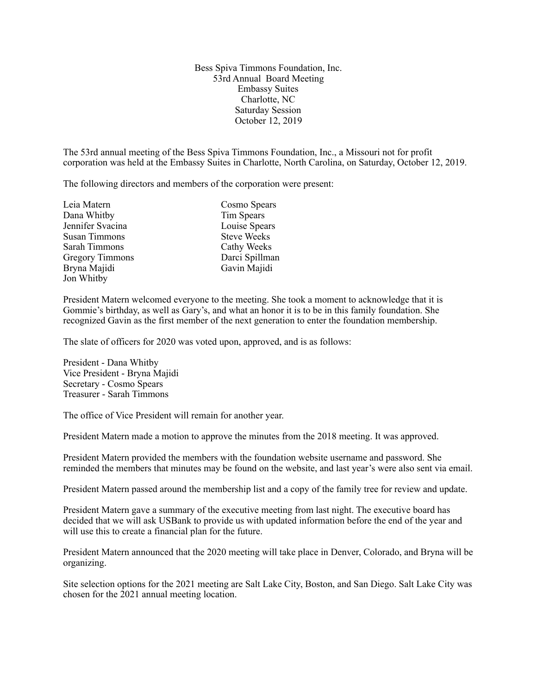Bess Spiva Timmons Foundation, Inc. 53rd Annual Board Meeting Embassy Suites Charlotte, NC Saturday Session October 12, 2019

The 53rd annual meeting of the Bess Spiva Timmons Foundation, Inc., a Missouri not for profit corporation was held at the Embassy Suites in Charlotte, North Carolina, on Saturday, October 12, 2019.

The following directors and members of the corporation were present:

| Leia Matern            | Cosmo Spears       |
|------------------------|--------------------|
| Dana Whitby            | Tim Spears         |
| Jennifer Svacina       | Louise Spears      |
| Susan Timmons          | <b>Steve Weeks</b> |
| Sarah Timmons          | Cathy Weeks        |
| <b>Gregory Timmons</b> | Darci Spillman     |
| Bryna Majidi           | Gavin Majidi       |
| Jon Whitby             |                    |

President Matern welcomed everyone to the meeting. She took a moment to acknowledge that it is Gommie's birthday, as well as Gary's, and what an honor it is to be in this family foundation. She recognized Gavin as the first member of the next generation to enter the foundation membership.

The slate of officers for 2020 was voted upon, approved, and is as follows:

President - Dana Whitby Vice President - Bryna Majidi Secretary - Cosmo Spears Treasurer - Sarah Timmons

The office of Vice President will remain for another year.

President Matern made a motion to approve the minutes from the 2018 meeting. It was approved.

President Matern provided the members with the foundation website username and password. She reminded the members that minutes may be found on the website, and last year's were also sent via email.

President Matern passed around the membership list and a copy of the family tree for review and update.

President Matern gave a summary of the executive meeting from last night. The executive board has decided that we will ask USBank to provide us with updated information before the end of the year and will use this to create a financial plan for the future.

President Matern announced that the 2020 meeting will take place in Denver, Colorado, and Bryna will be organizing.

Site selection options for the 2021 meeting are Salt Lake City, Boston, and San Diego. Salt Lake City was chosen for the 2021 annual meeting location.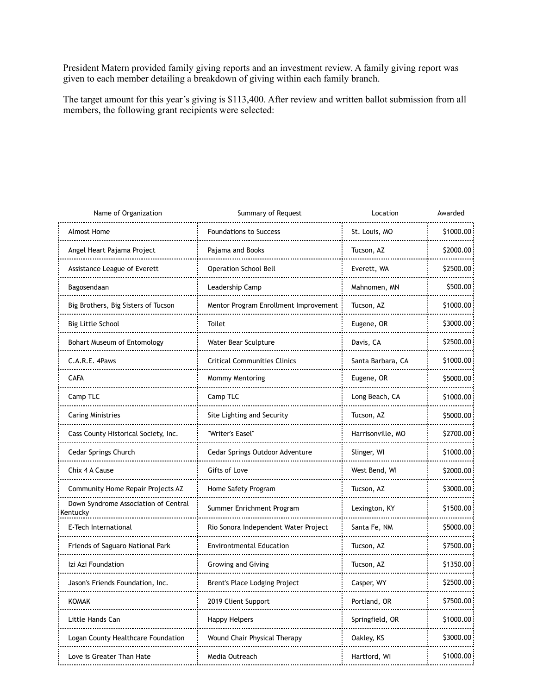President Matern provided family giving reports and an investment review. A family giving report was given to each member detailing a breakdown of giving within each family branch.

The target amount for this year's giving is \$113,400. After review and written ballot submission from all members, the following grant recipients were selected:

| Name of Organization                             | Summary of Request                    | Location              | Awarded   |
|--------------------------------------------------|---------------------------------------|-----------------------|-----------|
| <b>Almost Home</b>                               | <b>Foundations to Success</b>         | St. Louis, MO         | \$1000.00 |
| Angel Heart Pajama Project                       | Pajama and Books<br>                  | Tucson, AZ            | \$2000.00 |
| Assistance League of Everett                     | <b>Operation School Bell</b>          | Everett, WA           | \$2500.00 |
| Bagosendaan                                      | Leadership Camp<br>                   | Mahnomen, MN<br>.     | \$500.00  |
| Big Brothers, Big Sisters of Tucson              | Mentor Program Enrollment Improvement | Tucson, AZ            | \$1000.00 |
| <b>Big Little School</b><br>                     | Toilet                                | Eugene, OR            | \$3000.00 |
| Bohart Museum of Entomology                      | Water Bear Sculpture                  | Davis, CA             | \$2500.00 |
| C.A.R.E. 4Paws<br>                               | <b>Critical Communities Clinics</b>   | Santa Barbara, CA<br> | \$1000.00 |
| <b>CAFA</b>                                      | Mommy Mentoring                       | Eugene, OR            | \$5000.00 |
| Camp TLC                                         | Camp TLC                              | Long Beach, CA        | \$1000.00 |
| <b>Caring Ministries</b>                         | Site Lighting and Security            | Tucson, AZ            | \$5000.00 |
| Cass County Historical Society, Inc.             | "Writer's Easel"<br>                  | Harrisonville, MO     | \$2700.00 |
| Cedar Springs Church<br>                         | Cedar Springs Outdoor Adventure       | Slinger, WI           | \$1000.00 |
| Chix 4 A Cause                                   | Gifts of Love<br>.                    | West Bend, WI<br>.    | \$2000.00 |
| Community Home Repair Projects AZ                | Home Safety Program                   | Tucson, AZ            | \$3000.00 |
| Down Syndrome Association of Central<br>Kentucky | Summer Enrichment Program<br>         | Lexington, KY         | \$1500.00 |
| E-Tech International                             | Rio Sonora Independent Water Project  | Santa Fe, NM          | \$5000.00 |
| Friends of Saguaro National Park                 | Environtmental Education              | Tucson, AZ<br>.       | \$7500.00 |
| Izi Azi Foundation                               | Growing and Giving                    | Tucson, AZ            | \$1350.00 |
| Jason's Friends Foundation, Inc.                 | Brent's Place Lodging Project         | Casper, WY            | \$2500.00 |
| <b>KOMAK</b>                                     | 2019 Client Support                   | Portland, OR          | \$7500.00 |
| Little Hands Can                                 | <b>Happy Helpers</b><br>              | Springfield, OR       | \$1000.00 |
| Logan County Healthcare Foundation               | Wound Chair Physical Therapy          | Oakley, KS            | \$3000.00 |
| Love is Greater Than Hate<br>                    | Media Outreach                        | Hartford, WI          | \$1000.00 |